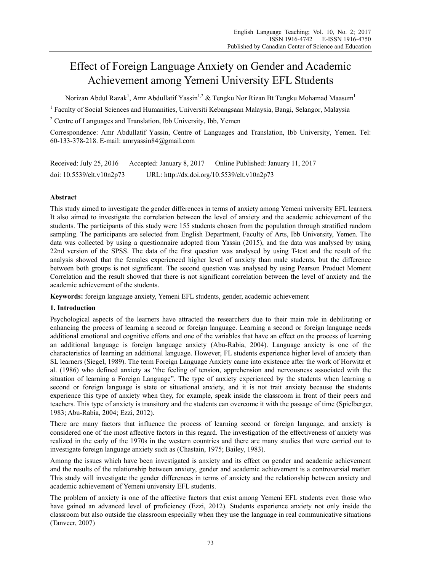# Effect of Foreign Language Anxiety on Gender and Academic Achievement among Yemeni University EFL Students

Norizan Abdul Razak $^{\rm l}$ , Amr Abdullatif Yassin $^{1,2}$  & Tengku Nor Rizan Bt Tengku Mohamad Maasum $^{\rm l}$ 

<sup>1</sup> Faculty of Social Sciences and Humanities, Universiti Kebangsaan Malaysia, Bangi, Selangor, Malaysia

<sup>2</sup> Centre of Languages and Translation, Ibb University, Ibb, Yemen

Correspondence: Amr Abdullatif Yassin, Centre of Languages and Translation, Ibb University, Yemen. Tel: 60-133-378-218. E-mail: amryassin84@gmail.com

Received: July 25, 2016 Accepted: January 8, 2017 Online Published: January 11, 2017 doi: 10.5539/elt.v10n2p73 URL: http://dx.doi.org/10.5539/elt.v10n2p73

# **Abstract**

This study aimed to investigate the gender differences in terms of anxiety among Yemeni university EFL learners. It also aimed to investigate the correlation between the level of anxiety and the academic achievement of the students. The participants of this study were 155 students chosen from the population through stratified random sampling. The participants are selected from English Department, Faculty of Arts, Ibb University, Yemen. The data was collected by using a questionnaire adopted from Yassin (2015), and the data was analysed by using 22nd version of the SPSS. The data of the first question was analysed by using T-test and the result of the analysis showed that the females experienced higher level of anxiety than male students, but the difference between both groups is not significant. The second question was analysed by using Pearson Product Moment Correlation and the result showed that there is not significant correlation between the level of anxiety and the academic achievement of the students.

**Keywords:** foreign language anxiety, Yemeni EFL students, gender, academic achievement

# **1. Introduction**

Psychological aspects of the learners have attracted the researchers due to their main role in debilitating or enhancing the process of learning a second or foreign language. Learning a second or foreign language needs additional emotional and cognitive efforts and one of the variables that have an effect on the process of learning an additional language is foreign language anxiety (Abu-Rabia, 2004). Language anxiety is one of the characteristics of learning an additional language. However, FL students experience higher level of anxiety than SL learners (Siegel, 1989). The term Foreign Language Anxiety came into existence after the work of Horwitz et al. (1986) who defined anxiety as "the feeling of tension, apprehension and nervousness associated with the situation of learning a Foreign Language". The type of anxiety experienced by the students when learning a second or foreign language is state or situational anxiety, and it is not trait anxiety because the students experience this type of anxiety when they, for example, speak inside the classroom in front of their peers and teachers. This type of anxiety is transitory and the students can overcome it with the passage of time (Spielberger, 1983; Abu-Rabia, 2004; Ezzi, 2012).

There are many factors that influence the process of learning second or foreign language, and anxiety is considered one of the most affective factors in this regard. The investigation of the effectiveness of anxiety was realized in the early of the 1970s in the western countries and there are many studies that were carried out to investigate foreign language anxiety such as (Chastain, 1975; Bailey, 1983).

Among the issues which have been investigated is anxiety and its effect on gender and academic achievement and the results of the relationship between anxiety, gender and academic achievement is a controversial matter. This study will investigate the gender differences in terms of anxiety and the relationship between anxiety and academic achievement of Yemeni university EFL students.

The problem of anxiety is one of the affective factors that exist among Yemeni EFL students even those who have gained an advanced level of proficiency (Ezzi, 2012). Students experience anxiety not only inside the classroom but also outside the classroom especially when they use the language in real communicative situations (Tanveer, 2007)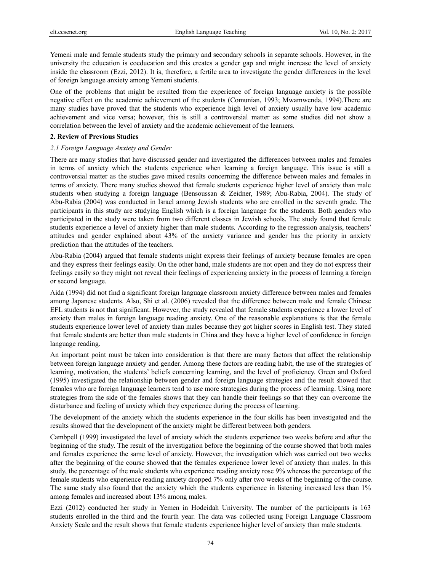Yemeni male and female students study the primary and secondary schools in separate schools. However, in the university the education is coeducation and this creates a gender gap and might increase the level of anxiety inside the classroom (Ezzi, 2012). It is, therefore, a fertile area to investigate the gender differences in the level of foreign language anxiety among Yemeni students.

One of the problems that might be resulted from the experience of foreign language anxiety is the possible negative effect on the academic achievement of the students (Comunian, 1993; Mwamwenda, 1994).There are many studies have proved that the students who experience high level of anxiety usually have low academic achievement and vice versa; however, this is still a controversial matter as some studies did not show a correlation between the level of anxiety and the academic achievement of the learners.

#### **2. Review of Previous Studies**

#### *2.1 Foreign Language Anxiety and Gender*

There are many studies that have discussed gender and investigated the differences between males and females in terms of anxiety which the students experience when learning a foreign language. This issue is still a controversial matter as the studies gave mixed results concerning the difference between males and females in terms of anxiety. There many studies showed that female students experience higher level of anxiety than male students when studying a foreign language (Bensoussan & Zeidner, 1989; Abu-Rabia, 2004). The study of Abu-Rabia (2004) was conducted in Israel among Jewish students who are enrolled in the seventh grade. The participants in this study are studying English which is a foreign language for the students. Both genders who participated in the study were taken from two different classes in Jewish schools. The study found that female students experience a level of anxiety higher than male students. According to the regression analysis, teachers' attitudes and gender explained about 43% of the anxiety variance and gender has the priority in anxiety prediction than the attitudes of the teachers.

Abu-Rabia (2004) argued that female students might express their feelings of anxiety because females are open and they express their feelings easily. On the other hand, male students are not open and they do not express their feelings easily so they might not reveal their feelings of experiencing anxiety in the process of learning a foreign or second language.

Aida (1994) did not find a significant foreign language classroom anxiety difference between males and females among Japanese students. Also, Shi et al. (2006) revealed that the difference between male and female Chinese EFL students is not that significant. However, the study revealed that female students experience a lower level of anxiety than males in foreign language reading anxiety. One of the reasonable explanations is that the female students experience lower level of anxiety than males because they got higher scores in English test. They stated that female students are better than male students in China and they have a higher level of confidence in foreign language reading.

An important point must be taken into consideration is that there are many factors that affect the relationship between foreign language anxiety and gender. Among these factors are reading habit, the use of the strategies of learning, motivation, the students' beliefs concerning learning, and the level of proficiency. Green and Oxford (1995) investigated the relationship between gender and foreign language strategies and the result showed that females who are foreign language learners tend to use more strategies during the process of learning. Using more strategies from the side of the females shows that they can handle their feelings so that they can overcome the disturbance and feeling of anxiety which they experience during the process of learning.

The development of the anxiety which the students experience in the four skills has been investigated and the results showed that the development of the anxiety might be different between both genders.

Cambpell (1999) investigated the level of anxiety which the students experience two weeks before and after the beginning of the study. The result of the investigation before the beginning of the course showed that both males and females experience the same level of anxiety. However, the investigation which was carried out two weeks after the beginning of the course showed that the females experience lower level of anxiety than males. In this study, the percentage of the male students who experience reading anxiety rose 9% whereas the percentage of the female students who experience reading anxiety dropped 7% only after two weeks of the beginning of the course. The same study also found that the anxiety which the students experience in listening increased less than 1% among females and increased about 13% among males.

Ezzi (2012) conducted her study in Yemen in Hodeidah University. The number of the participants is 163 students enrolled in the third and the fourth year. The data was collected using Foreign Language Classroom Anxiety Scale and the result shows that female students experience higher level of anxiety than male students.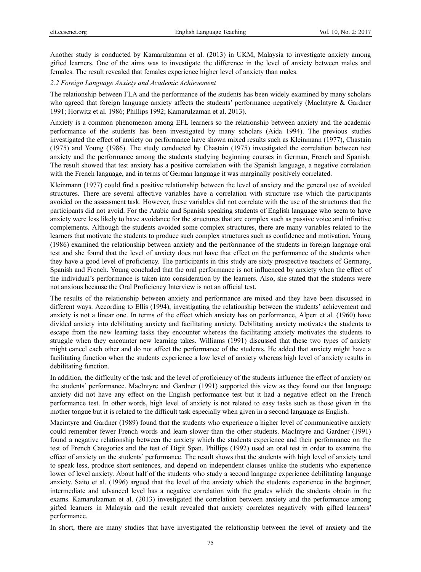Another study is conducted by Kamarulzaman et al. (2013) in UKM, Malaysia to investigate anxiety among gifted learners. One of the aims was to investigate the difference in the level of anxiety between males and females. The result revealed that females experience higher level of anxiety than males.

#### *2.2 Foreign Language Anxiety and Academic Achievement*

The relationship between FLA and the performance of the students has been widely examined by many scholars who agreed that foreign language anxiety affects the students' performance negatively (MacIntyre & Gardner 1991; Horwitz et al. 1986; Phillips 1992; Kamarulzaman et al. 2013).

Anxiety is a common phenomenon among EFL learners so the relationship between anxiety and the academic performance of the students has been investigated by many scholars (Aida 1994). The previous studies investigated the effect of anxiety on performance have shown mixed results such as Kleinmann (1977), Chastain (1975) and Young (1986). The study conducted by Chastain (1975) investigated the correlation between test anxiety and the performance among the students studying beginning courses in German, French and Spanish. The result showed that test anxiety has a positive correlation with the Spanish language, a negative correlation with the French language, and in terms of German language it was marginally positively correlated.

Kleinmann (1977) could find a positive relationship between the level of anxiety and the general use of avoided structures. There are several affective variables have a correlation with structure use which the participants avoided on the assessment task. However, these variables did not correlate with the use of the structures that the participants did not avoid. For the Arabic and Spanish speaking students of English language who seem to have anxiety were less likely to have avoidance for the structures that are complex such as passive voice and infinitive complements. Although the students avoided some complex structures, there are many variables related to the learners that motivate the students to produce such complex structures such as confidence and motivation. Young (1986) examined the relationship between anxiety and the performance of the students in foreign language oral test and she found that the level of anxiety does not have that effect on the performance of the students when they have a good level of proficiency. The participants in this study are sixty prospective teachers of Germany, Spanish and French. Young concluded that the oral performance is not influenced by anxiety when the effect of the individual's performance is taken into consideration by the learners. Also, she stated that the students were not anxious because the Oral Proficiency Interview is not an official test.

The results of the relationship between anxiety and performance are mixed and they have been discussed in different ways. According to Ellis (1994), investigating the relationship between the students' achievement and anxiety is not a linear one. In terms of the effect which anxiety has on performance, Alpert et al. (1960) have divided anxiety into debilitating anxiety and facilitating anxiety. Debilitating anxiety motivates the students to escape from the new learning tasks they encounter whereas the facilitating anxiety motivates the students to struggle when they encounter new learning takes. Williams (1991) discussed that these two types of anxiety might cancel each other and do not affect the performance of the students. He added that anxiety might have a facilitating function when the students experience a low level of anxiety whereas high level of anxiety results in debilitating function.

In addition, the difficulty of the task and the level of proficiency of the students influence the effect of anxiety on the students' performance. MacIntyre and Gardner (1991) supported this view as they found out that language anxiety did not have any effect on the English performance test but it had a negative effect on the French performance test. In other words, high level of anxiety is not related to easy tasks such as those given in the mother tongue but it is related to the difficult task especially when given in a second language as English.

Macintyre and Gardner (1989) found that the students who experience a higher level of communicative anxiety could remember fewer French words and learn slower than the other students. MacIntyre and Gardner (1991) found a negative relationship between the anxiety which the students experience and their performance on the test of French Categories and the test of Digit Span. Phillips (1992) used an oral test in order to examine the effect of anxiety on the students' performance. The result shows that the students with high level of anxiety tend to speak less, produce short sentences, and depend on independent clauses unlike the students who experience lower of level anxiety. About half of the students who study a second language experience debilitating language anxiety. Saito et al. (1996) argued that the level of the anxiety which the students experience in the beginner, intermediate and advanced level has a negative correlation with the grades which the students obtain in the exams. Kamarulzaman et al. (2013) investigated the correlation between anxiety and the performance among gifted learners in Malaysia and the result revealed that anxiety correlates negatively with gifted learners' performance.

In short, there are many studies that have investigated the relationship between the level of anxiety and the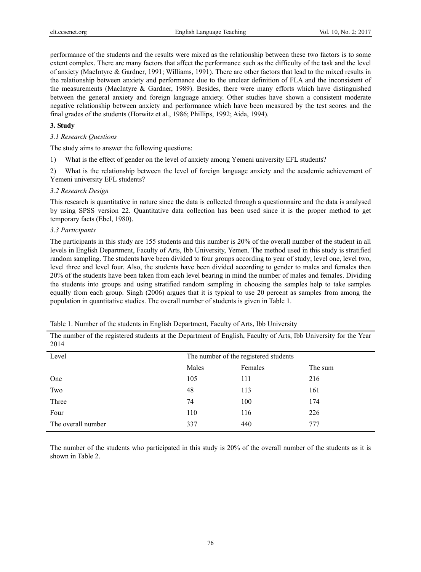performance of the students and the results were mixed as the relationship between these two factors is to some extent complex. There are many factors that affect the performance such as the difficulty of the task and the level of anxiety (MacIntyre & Gardner, 1991; Williams, 1991). There are other factors that lead to the mixed results in the relationship between anxiety and performance due to the unclear definition of FLA and the inconsistent of the measurements (MacIntyre & Gardner, 1989). Besides, there were many efforts which have distinguished between the general anxiety and foreign language anxiety. Other studies have shown a consistent moderate negative relationship between anxiety and performance which have been measured by the test scores and the final grades of the students (Horwitz et al., 1986; Phillips, 1992; Aida, 1994).

## **3. Study**

## *3.1 Research Questions*

The study aims to answer the following questions:

1) What is the effect of gender on the level of anxiety among Yemeni university EFL students?

2) What is the relationship between the level of foreign language anxiety and the academic achievement of Yemeni university EFL students?

## *3.2 Research Design*

This research is quantitative in nature since the data is collected through a questionnaire and the data is analysed by using SPSS version 22. Quantitative data collection has been used since it is the proper method to get temporary facts (Ebel, 1980).

## *3.3 Participants*

The participants in this study are 155 students and this number is 20% of the overall number of the student in all levels in English Department, Faculty of Arts, Ibb University, Yemen. The method used in this study is stratified random sampling. The students have been divided to four groups according to year of study; level one, level two, level three and level four. Also, the students have been divided according to gender to males and females then 20% of the students have been taken from each level bearing in mind the number of males and females. Dividing the students into groups and using stratified random sampling in choosing the samples help to take samples equally from each group. Singh (2006) argues that it is typical to use 20 percent as samples from among the population in quantitative studies. The overall number of students is given in Table 1.

| 2014               |                                       |         |         |  |  |  |
|--------------------|---------------------------------------|---------|---------|--|--|--|
| Level              | The number of the registered students |         |         |  |  |  |
|                    | Males                                 | Females | The sum |  |  |  |
| One                | 105                                   | 111     | 216     |  |  |  |
| Two                | 48                                    | 113     | 161     |  |  |  |
| Three              | 74                                    | 100     | 174     |  |  |  |
| Four               | 110                                   | 116     | 226     |  |  |  |
| The overall number | 337                                   | 440     | 777     |  |  |  |

The number of the registered students at the Department of English, Faculty of Arts, Ibb University for the Year

Table 1. Number of the students in English Department, Faculty of Arts, Ibb University

The number of the students who participated in this study is 20% of the overall number of the students as it is shown in Table 2.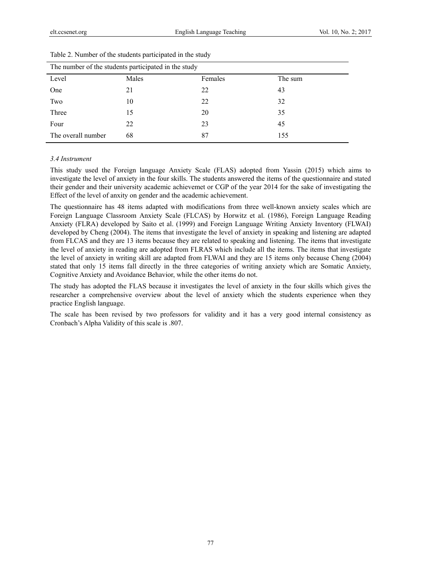| The number of the students participated in the study |       |         |         |  |  |  |
|------------------------------------------------------|-------|---------|---------|--|--|--|
| Level                                                | Males | Females | The sum |  |  |  |
| One                                                  | 21    | 22      | 43      |  |  |  |
| Two                                                  | 10    | 22      | 32      |  |  |  |
| Three                                                | 15    | 20      | 35      |  |  |  |
| Four                                                 | 22    | 23      | 45      |  |  |  |
| The overall number                                   | 68    | 87      | 155     |  |  |  |

Table 2. Number of the students participated in the study

## *3.4 Instrument*

This study used the Foreign language Anxiety Scale (FLAS) adopted from Yassin (2015) which aims to investigate the level of anxiety in the four skills. The students answered the items of the questionnaire and stated their gender and their university academic achievemet or CGP of the year 2014 for the sake of investigating the Effect of the level of anxity on gender and the academic achievement.

The questionnaire has 48 items adapted with modifications from three well-known anxiety scales which are Foreign Language Classroom Anxiety Scale (FLCAS) by Horwitz et al. (1986), Foreign Language Reading Anxiety (FLRA) developed by Saito et al. (1999) and Foreign Language Writing Anxiety Inventory (FLWAI) developed by Cheng (2004). The items that investigate the level of anxiety in speaking and listening are adapted from FLCAS and they are 13 items because they are related to speaking and listening. The items that investigate the level of anxiety in reading are adopted from FLRAS which include all the items. The items that investigate the level of anxiety in writing skill are adapted from FLWAI and they are 15 items only because Cheng (2004) stated that only 15 items fall directly in the three categories of writing anxiety which are Somatic Anxiety, Cognitive Anxiety and Avoidance Behavior, while the other items do not.

The study has adopted the FLAS because it investigates the level of anxiety in the four skills which gives the researcher a comprehensive overview about the level of anxiety which the students experience when they practice English language.

The scale has been revised by two professors for validity and it has a very good internal consistency as Cronbach's Alpha Validity of this scale is .807.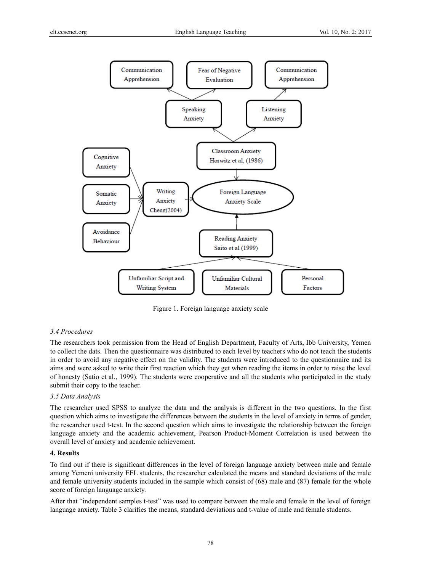

Figure 1. Foreign language anxiety scale

# *3.4 Procedures*

The researchers took permission from the Head of English Department, Faculty of Arts, Ibb University, Yemen to collect the dats. Then the questionnaire was distributed to each level by teachers who do not teach the students in order to avoid any negative effect on the validity. The students were introduced to the questionnaire and its aims and were asked to write their first reaction which they get when reading the items in order to raise the level of honesty (Satio et al., 1999). The students were cooperative and all the students who participated in the study submit their copy to the teacher.

## *3.5 Data Analysis*

The researcher used SPSS to analyze the data and the analysis is different in the two questions. In the first question which aims to investigate the differences between the students in the level of anxiety in terms of gender, the researcher used t-test. In the second question which aims to investigate the relationship between the foreign language anxiety and the academic achievement, Pearson Product-Moment Correlation is used between the overall level of anxiety and academic achievement.

## **4. Results**

To find out if there is significant differences in the level of foreign language anxiety between male and female among Yemeni university EFL students, the researcher calculated the means and standard deviations of the male and female university students included in the sample which consist of (68) male and (87) female for the whole score of foreign language anxiety.

After that "independent samples t-test" was used to compare between the male and female in the level of foreign language anxiety. Table 3 clarifies the means, standard deviations and t-value of male and female students.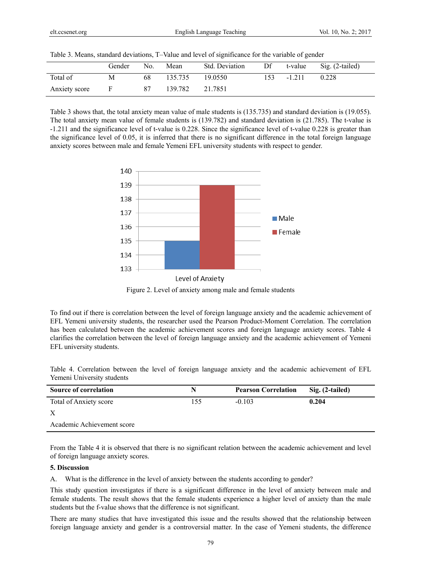| Table 3. Means, standard deviations, T-Value and level of significance for the variable of gender |  |  |
|---------------------------------------------------------------------------------------------------|--|--|
|---------------------------------------------------------------------------------------------------|--|--|

|               | Gender | No. | Mean    | Std. Deviation | Df  | t-value  | Sig. (2-tailed) |
|---------------|--------|-----|---------|----------------|-----|----------|-----------------|
| Total of      | М      | 68  | 135.735 | 19.0550        | 153 | $-1.211$ | 0.228           |
| Anxiety score | F      |     | 139.782 | 21.7851        |     |          |                 |

Table 3 shows that, the total anxiety mean value of male students is (135.735) and standard deviation is (19.055). The total anxiety mean value of female students is (139.782) and standard deviation is (21.785). The t-value is -1.211 and the significance level of t-value is 0.228. Since the significance level of t-value 0.228 is greater than the significance level of 0.05, it is inferred that there is no significant difference in the total foreign language anxiety scores between male and female Yemeni EFL university students with respect to gender.



Figure 2. Level of anxiety among male and female students

To find out if there is correlation between the level of foreign language anxiety and the academic achievement of EFL Yemeni university students, the researcher used the Pearson Product-Moment Correlation. The correlation has been calculated between the academic achievement scores and foreign language anxiety scores. Table 4 clarifies the correlation between the level of foreign language anxiety and the academic achievement of Yemeni EFL university students.

Table 4. Correlation between the level of foreign language anxiety and the academic achievement of EFL Yemeni University students

| <b>Source of correlation</b> |     | <b>Pearson Correlation</b> | Sig. (2-tailed) |
|------------------------------|-----|----------------------------|-----------------|
| Total of Anxiety score       | 155 | $-0.103$                   | 0.204           |
|                              |     |                            |                 |
| Academic Achievement score   |     |                            |                 |

From the Table 4 it is observed that there is no significant relation between the academic achievement and level of foreign language anxiety scores.

## **5. Discussion**

A. What is the difference in the level of anxiety between the students according to gender?

This study question investigates if there is a significant difference in the level of anxiety between male and female students. The result shows that the female students experience a higher level of anxiety than the male students but the f-value shows that the difference is not significant.

There are many studies that have investigated this issue and the results showed that the relationship between foreign language anxiety and gender is a controversial matter. In the case of Yemeni students, the difference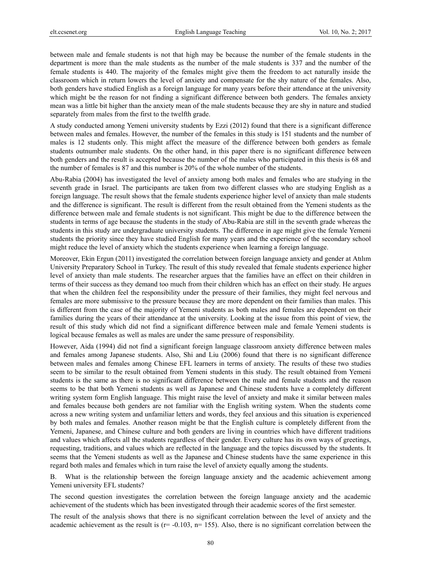between male and female students is not that high may be because the number of the female students in the department is more than the male students as the number of the male students is 337 and the number of the female students is 440. The majority of the females might give them the freedom to act naturally inside the classroom which in return lowers the level of anxiety and compensate for the shy nature of the females. Also, both genders have studied English as a foreign language for many years before their attendance at the university which might be the reason for not finding a significant difference between both genders. The females anxiety mean was a little bit higher than the anxiety mean of the male students because they are shy in nature and studied separately from males from the first to the twelfth grade.

A study conducted among Yemeni university students by Ezzi (2012) found that there is a significant difference between males and females. However, the number of the females in this study is 151 students and the number of males is 12 students only. This might affect the measure of the difference between both genders as female students outnumber male students. On the other hand, in this paper there is no significant difference between both genders and the result is accepted because the number of the males who participated in this thesis is 68 and the number of females is 87 and this number is 20% of the whole number of the students.

Abu-Rabia (2004) has investigated the level of anxiety among both males and females who are studying in the seventh grade in Israel. The participants are taken from two different classes who are studying English as a foreign language. The result shows that the female students experience higher level of anxiety than male students and the difference is significant. The result is different from the result obtained from the Yemeni students as the difference between male and female students is not significant. This might be due to the difference between the students in terms of age because the students in the study of Abu-Rabia are still in the seventh grade whereas the students in this study are undergraduate university students. The difference in age might give the female Yemeni students the priority since they have studied English for many years and the experience of the secondary school might reduce the level of anxiety which the students experience when learning a foreign language.

Moreover, Ekin Ergun (2011) investigated the correlation between foreign language anxiety and gender at Atılım University Preparatory School in Turkey. The result of this study revealed that female students experience higher level of anxiety than male students. The researcher argues that the families have an effect on their children in terms of their success as they demand too much from their children which has an effect on their study. He argues that when the children feel the responsibility under the pressure of their families, they might feel nervous and females are more submissive to the pressure because they are more dependent on their families than males. This is different from the case of the majority of Yemeni students as both males and females are dependent on their families during the years of their attendance at the university. Looking at the issue from this point of view, the result of this study which did not find a significant difference between male and female Yemeni students is logical because females as well as males are under the same pressure of responsibility.

However, Aida (1994) did not find a significant foreign language classroom anxiety difference between males and females among Japanese students. Also, Shi and Liu (2006) found that there is no significant difference between males and females among Chinese EFL learners in terms of anxiety. The results of these two studies seem to be similar to the result obtained from Yemeni students in this study. The result obtained from Yemeni students is the same as there is no significant difference between the male and female students and the reason seems to be that both Yemeni students as well as Japanese and Chinese students have a completely different writing system form English language. This might raise the level of anxiety and make it similar between males and females because both genders are not familiar with the English writing system. When the students come across a new writing system and unfamiliar letters and words, they feel anxious and this situation is experienced by both males and females. Another reason might be that the English culture is completely different from the Yemeni, Japanese, and Chinese culture and both genders are living in countries which have different traditions and values which affects all the students regardless of their gender. Every culture has its own ways of greetings, requesting, traditions, and values which are reflected in the language and the topics discussed by the students. It seems that the Yemeni students as well as the Japanese and Chinese students have the same experience in this regard both males and females which in turn raise the level of anxiety equally among the students.

B. What is the relationship between the foreign language anxiety and the academic achievement among Yemeni university EFL students?

The second question investigates the correlation between the foreign language anxiety and the academic achievement of the students which has been investigated through their academic scores of the first semester.

The result of the analysis shows that there is no significant correlation between the level of anxiety and the academic achievement as the result is  $(r = -0.103, n = 155)$ . Also, there is no significant correlation between the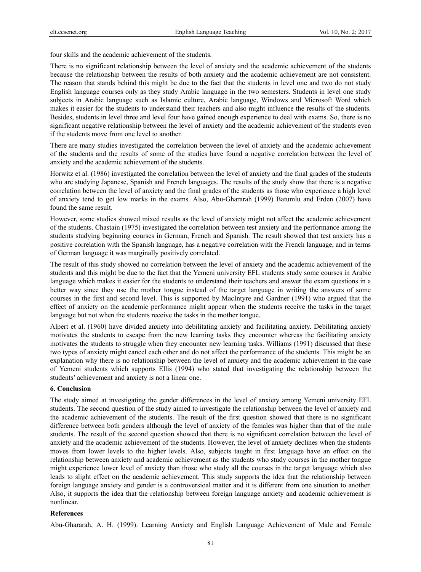four skills and the academic achievement of the students.

There is no significant relationship between the level of anxiety and the academic achievement of the students because the relationship between the results of both anxiety and the academic achievement are not consistent. The reason that stands behind this might be due to the fact that the students in level one and two do not study English language courses only as they study Arabic language in the two semesters. Students in level one study subjects in Arabic language such as Islamic culture, Arabic language, Windows and Microsoft Word which makes it easier for the students to understand their teachers and also might influence the results of the students. Besides, students in level three and level four have gained enough experience to deal with exams. So, there is no significant negative relationship between the level of anxiety and the academic achievement of the students even if the students move from one level to another.

There are many studies investigated the correlation between the level of anxiety and the academic achievement of the students and the results of some of the studies have found a negative correlation between the level of anxiety and the academic achievement of the students.

Horwitz et al. (1986) investigated the correlation between the level of anxiety and the final grades of the students who are studying Japanese, Spanish and French languages. The results of the study show that there is a negative correlation between the level of anxiety and the final grades of the students as those who experience a high level of anxiety tend to get low marks in the exams. Also, Abu-Ghararah (1999) Batumlu and Erden (2007) have found the same result.

However, some studies showed mixed results as the level of anxiety might not affect the academic achievement of the students. Chastain (1975) investigated the correlation between test anxiety and the performance among the students studying beginning courses in German, French and Spanish. The result showed that test anxiety has a positive correlation with the Spanish language, has a negative correlation with the French language, and in terms of German language it was marginally positively correlated.

The result of this study showed no correlation between the level of anxiety and the academic achievement of the students and this might be due to the fact that the Yemeni university EFL students study some courses in Arabic language which makes it easier for the students to understand their teachers and answer the exam questions in a better way since they use the mother tongue instead of the target language in writing the answers of some courses in the first and second level. This is supported by MacIntyre and Gardner (1991) who argued that the effect of anxiety on the academic performance might appear when the students receive the tasks in the target language but not when the students receive the tasks in the mother tongue.

Alpert et al. (1960) have divided anxiety into debilitating anxiety and facilitating anxiety. Debilitating anxiety motivates the students to escape from the new learning tasks they encounter whereas the facilitating anxiety motivates the students to struggle when they encounter new learning tasks. Williams (1991) discussed that these two types of anxiety might cancel each other and do not affect the performance of the students. This might be an explanation why there is no relationship between the level of anxiety and the academic achievement in the case of Yemeni students which supports Ellis (1994) who stated that investigating the relationship between the students' achievement and anxiety is not a linear one.

#### **6. Conclusion**

The study aimed at investigating the gender differences in the level of anxiety among Yemeni university EFL students. The second question of the study aimed to investigate the relationship between the level of anxiety and the academic achievement of the students. The result of the first question showed that there is no significant difference between both genders although the level of anxiety of the females was higher than that of the male students. The result of the second question showed that there is no significant correlation between the level of anxiety and the academic achievement of the students. However, the level of anxiety declines when the students moves from lower levels to the higher levels. Also, subjects taught in first language have an effect on the relationship between anxiety and academic achievement as the students who study courses in the mother tongue might experience lower level of anxiety than those who study all the courses in the target language which also leads to slight effect on the academic achievement. This study supports the idea that the relationship between foreign language anxiety and gender is a controversioal matter and it is different from one situation to another. Also, it supports the idea that the relationship between foreign language anxiety and academic achievement is nonlinear.

#### **References**

Abu-Ghararah, A. H. (1999). Learning Anxiety and English Language Achievement of Male and Female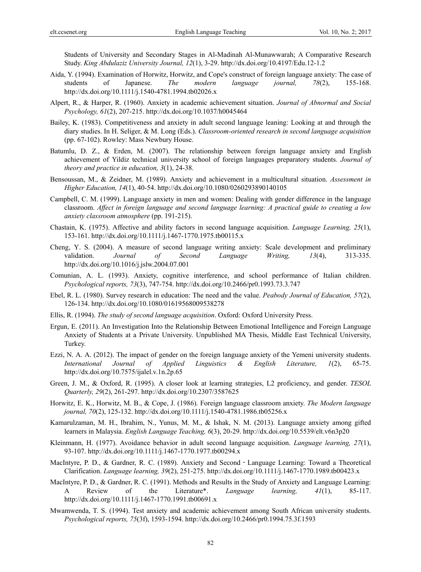Students of University and Secondary Stages in Al-Madinah Al-Munawwarah; A Comparative Research Study. *King Abdulaziz University Journal, 12*(1), 3-29. http://dx.doi.org/10.4197/Edu.12-1.2

- Aida, Y. (1994). Examination of Horwitz, Horwitz, and Cope's construct of foreign language anxiety: The case of students of Japanese. *The modern language journal, 78*(2), 155-168. http://dx.doi.org/10.1111/j.1540-4781.1994.tb02026.x
- Alpert, R., & Harper, R. (1960). Anxiety in academic achievement situation. *Journal of Abnormal and Social Psychology, 61*(2), 207-215. http://dx.doi.org/10.1037/h0045464
- Bailey, K. (1983). Competitiveness and anxiety in adult second language leaning: Looking at and through the diary studies. In H. Seliger, & M. Long (Eds.). *Classroom-oriented research in second language acquisition*  (pp. 67-102). Rowley: Mass Newbury House.
- Batumlu, D. Z., & Erden, M. (2007). The relationship between foreign language anxiety and English achievement of Yildiz technical university school of foreign languages preparatory students. *Journal of theory and practice in education, 3*(1), 24-38.
- Bensoussan, M., & Zeidner, M. (1989). Anxiety and achievement in a multicultural situation. *Assessment in Higher Education, 14*(1), 40-54. http://dx.doi.org/10.1080/0260293890140105
- Campbell, C. M. (1999). Language anxiety in men and women: Dealing with gender difference in the language classroom. *Affect in foreign language and second language learning: A practical guide to creating a low anxiety classroom atmosphere* (pp. 191-215).
- Chastain, K. (1975). Affective and ability factors in second language acquisition. *Language Learning, 25*(1), 153-161. http://dx.doi.org/10.1111/j.1467-1770.1975.tb00115.x
- Cheng, Y. S. (2004). A measure of second language writing anxiety: Scale development and preliminary validation. *Journal of Second Language Writing, 13*(4), 313-335. http://dx.doi.org/10.1016/j.jslw.2004.07.001
- Comunian, A. L. (1993). Anxiety, cognitive interference, and school performance of Italian children. *Psychological reports, 73*(3), 747-754. http://dx.doi.org/10.2466/pr0.1993.73.3.747
- Ebel, R. L. (1980). Survey research in education: The need and the value. *Peabody Journal of Education, 57*(2), 126-134. http://dx.doi.org/10.1080/01619568009538278
- Ellis, R. (1994). *The study of second language acquisition*. Oxford: Oxford University Press.
- Ergun, E. (2011). An Investigation Into the Relationship Between Emotional Intelligence and Foreign Language Anxiety of Students at a Private University. Unpublished MA Thesis, Middle East Technical University, Turkey.
- Ezzi, N. A. A. (2012). The impact of gender on the foreign language anxiety of the Yemeni university students. *International Journal of Applied Linguistics & English Literature, 1*(2), 65-75. http://dx.doi.org/10.7575/ijalel.v.1n.2p.65
- Green, J. M., & Oxford, R. (1995). A closer look at learning strategies, L2 proficiency, and gender. *TESOL Quarterly, 29*(2), 261-297. http://dx.doi.org/10.2307/3587625
- Horwitz, E. K., Horwitz, M. B., & Cope, J. (1986). Foreign language classroom anxiety. *The Modern language journal, 70*(2), 125-132. http://dx.doi.org/10.1111/j.1540-4781.1986.tb05256.x
- Kamarulzaman, M. H., Ibrahim, N., Yunus, M. M., & Ishak, N. M. (2013). Language anxiety among gifted learners in Malaysia. *English Language Teaching, 6*(3), 20-29. http://dx.doi.org/10.5539/elt.v6n3p20
- Kleinmann, H. (1977). Avoidance behavior in adult second language acquisition. *Language learning, 27*(1), 93-107. http://dx.doi.org/10.1111/j.1467-1770.1977.tb00294.x
- MacIntyre, P. D., & Gardner, R. C. (1989). Anxiety and Second Language Learning: Toward a Theoretical Clarification. *Language learning, 39*(2), 251-275. http://dx.doi.org/10.1111/j.1467-1770.1989.tb00423.x
- MacIntyre, P. D., & Gardner, R. C. (1991). Methods and Results in the Study of Anxiety and Language Learning: A Review of the Literature\*. *Language learning, 41*(1), 85-117. http://dx.doi.org/10.1111/j.1467-1770.1991.tb00691.x
- Mwamwenda, T. S. (1994). Test anxiety and academic achievement among South African university students. *Psychological reports, 75*(3f), 1593-1594. http://dx.doi.org/10.2466/pr0.1994.75.3f.1593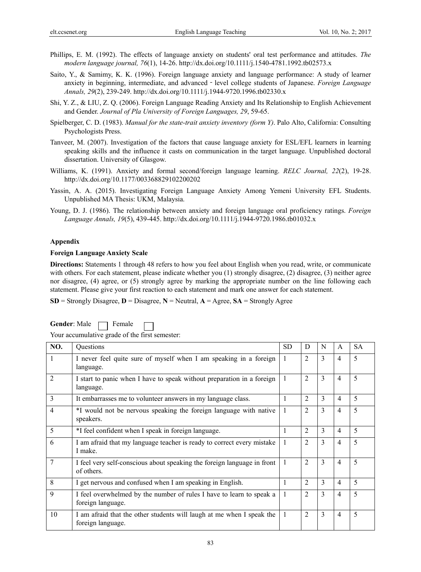- Phillips, E. M. (1992). The effects of language anxiety on students' oral test performance and attitudes. *The modern language journal, 76*(1), 14-26. http://dx.doi.org/10.1111/j.1540-4781.1992.tb02573.x
- Saito, Y., & Samimy, K. K. (1996). Foreign language anxiety and language performance: A study of learner anxiety in beginning, intermediate, and advanced - level college students of Japanese. *Foreign Language Annals, 29*(2), 239-249. http://dx.doi.org/10.1111/j.1944-9720.1996.tb02330.x
- Shi, Y. Z., & LIU, Z. Q. (2006). Foreign Language Reading Anxiety and Its Relationship to English Achievement and Gender. *Journal of Pla University of Foreign Languages, 29*, 59-65.
- Spielberger, C. D. (1983). *Manual for the state-trait anxiety inventory (form Y)*. Palo Alto, California: Consulting Psychologists Press.
- Tanveer, M. (2007). Investigation of the factors that cause language anxiety for ESL/EFL learners in learning speaking skills and the influence it casts on communication in the target language. Unpublished doctoral dissertation. University of Glasgow.
- Williams, K. (1991). Anxiety and formal second/foreign language learning. *RELC Journal, 22*(2), 19-28. http://dx.doi.org/10.1177/003368829102200202
- Yassin, A. A. (2015). Investigating Foreign Language Anxiety Among Yemeni University EFL Students. Unpublished MA Thesis: UKM, Malaysia.
- Young, D. J. (1986). The relationship between anxiety and foreign language oral proficiency ratings. *Foreign Language Annals, 19*(5), 439-445. http://dx.doi.org/10.1111/j.1944-9720.1986.tb01032.x

## **Appendix**

## **Foreign Language Anxiety Scale**

**Directions:** Statements 1 through 48 refers to how you feel about English when you read, write, or communicate with others. For each statement, please indicate whether you (1) strongly disagree, (2) disagree, (3) neither agree nor disagree, (4) agree, or (5) strongly agree by marking the appropriate number on the line following each statement. Please give your first reaction to each statement and mark one answer for each statement.

**SD** = Strongly Disagree, **D** = Disagree, **N** = Neutral,  $A = \text{Agree}$ ,  $SA = \text{Strongly Age}$ 

**Gender**: Male **F**emale

Your accumulative grade of the first semester:

| NO.            | Questions                                                                                  | <b>SD</b>    | D              | N            | $\mathsf{A}$   | <b>SA</b> |
|----------------|--------------------------------------------------------------------------------------------|--------------|----------------|--------------|----------------|-----------|
| 1              | I never feel quite sure of myself when I am speaking in a foreign<br>language.             |              | $\mathfrak{D}$ | 3            | $\overline{4}$ | 5         |
| $\overline{2}$ | I start to panic when I have to speak without preparation in a foreign<br>language.        | 1            | 2              | 3            | 4              | 5         |
| $\overline{3}$ | It embarrasses me to volunteer answers in my language class.                               |              | $\overline{2}$ | 3            | 4              | 5         |
| 4              | *I would not be nervous speaking the foreign language with native<br>speakers.             | 1            | $\overline{2}$ | 3            | $\overline{4}$ | 5         |
| 5              | *I feel confident when I speak in foreign language.                                        | -1           | $\overline{2}$ | 3            | $\overline{4}$ | 5         |
| 6              | I am afraid that my language teacher is ready to correct every mistake<br>I make.          | 1            | $\overline{2}$ | $\mathbf{3}$ | $\overline{4}$ | 5         |
| $\overline{7}$ | I feel very self-conscious about speaking the foreign language in front<br>of others.      | $\mathbf{1}$ | $\overline{2}$ | 3            | $\overline{4}$ | 5         |
| 8              | I get nervous and confused when I am speaking in English.                                  | 1            | $\mathfrak{D}$ | 3            | $\overline{4}$ | 5         |
| 9              | I feel overwhelmed by the number of rules I have to learn to speak a<br>foreign language.  |              | $\overline{2}$ | 3            | $\overline{4}$ | 5         |
| 10             | I am afraid that the other students will laugh at me when I speak the<br>foreign language. | 1            | 2              | 3            | $\overline{4}$ | 5         |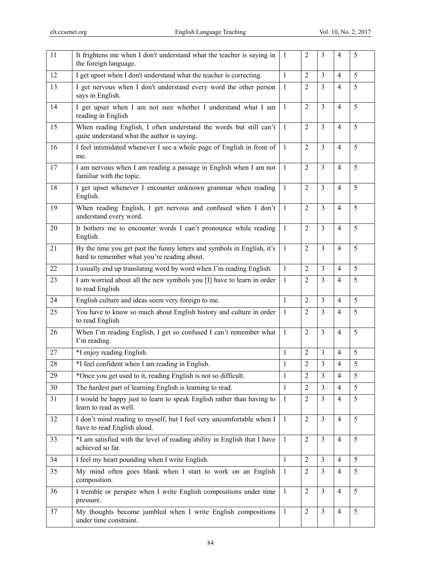| $\overline{11}$ | It frightens me when I don't understand what the teacher is saying in<br>the foreign language.                         | 1              | $\overline{2}$ | $\overline{3}$ | $\overline{4}$ | 5              |
|-----------------|------------------------------------------------------------------------------------------------------------------------|----------------|----------------|----------------|----------------|----------------|
| 12              | I get upset when I don't understand what the teacher is correcting.                                                    | $\mathbf{1}$   | $\overline{2}$ | 3              | $\overline{4}$ | 5              |
| 13              | I get nervous when I don't understand every word the other person<br>says in English.                                  | $\mathbf{1}$   | $\overline{2}$ | 3              | $\overline{4}$ | $\overline{5}$ |
| 14              | I get upset when I am not sure whether I understand what I am<br>reading in English                                    | $\mathbf{1}$   | $\overline{2}$ | $\overline{3}$ | $\overline{4}$ | 5              |
| 15              | When reading English, I often understand the words but still can't<br>quite understand what the author is saying.      | $\overline{1}$ | $\overline{2}$ | $\overline{3}$ | $\overline{4}$ | 5              |
| 16              | I feel intimidated whenever I see a whole page of English in front of<br>me.                                           | $\overline{1}$ | $\overline{2}$ | $\overline{3}$ | $\overline{4}$ | $\overline{5}$ |
| 17              | I am nervous when I am reading a passage in English when I am not<br>familiar with the topic.                          | $\mathbf{1}$   | $\overline{2}$ | 3              | $\overline{4}$ | 5              |
| 18              | I get upset whenever I encounter unknown grammar when reading<br>English.                                              | $\mathbf{1}$   | $\overline{2}$ | $\overline{3}$ | $\overline{4}$ | 5              |
| 19              | When reading English, I get nervous and confused when I don't<br>understand every word.                                | $\mathbf{1}$   | $\overline{2}$ | $\overline{3}$ | $\overline{4}$ | 5              |
| 20              | It bothers me to encounter words I can't pronounce while reading<br>English.                                           | $\mathbf{1}$   | $\overline{2}$ | $\overline{3}$ | $\overline{4}$ | $\overline{5}$ |
| 21              | By the time you get past the funny letters and symbols in English, it's<br>hard to remember what you're reading about. | $\overline{1}$ | $\overline{2}$ | $\overline{3}$ | $\overline{4}$ | 5              |
| 22              | I usually end up translating word by word when I'm reading English.                                                    | $\mathbf{1}$   | $\overline{2}$ | $\overline{3}$ | $\overline{4}$ | 5              |
| 23              | I am worried about all the new symbols you [I] have to learn in order<br>to read English.                              | $\mathbf{1}$   | $\overline{2}$ | 3              | $\overline{4}$ | 5              |
| 24              | English culture and ideas seem very foreign to me.                                                                     | $\mathbf{1}$   | $\overline{2}$ | $\overline{3}$ | $\overline{4}$ | 5              |
| 25              | You have to know so much about English history and culture in order<br>to read English.                                | $\mathbf{1}$   | $\overline{2}$ | 3              | $\overline{4}$ | 5              |
| 26              | When I'm reading English, I get so confused I can't remember what<br>I'm reading.                                      | 1              | $\overline{2}$ | $\overline{3}$ | $\overline{4}$ | 5              |
| 27              | *I enjoy reading English.                                                                                              | $\mathbf{1}$   | $\overline{2}$ | 3              | $\overline{4}$ | 5              |
| 28              | *I feel confident when I am reading in English.                                                                        | $\mathbf{1}$   | $\overline{2}$ | $\overline{3}$ | $\overline{4}$ | $\overline{5}$ |
| 29              | *Once you get used to it, reading English is not so difficult.                                                         | $\mathbf{1}$   | $\overline{2}$ | $\overline{3}$ | $\overline{4}$ | 5              |
| 30              | The hardest part of learning English is learning to read.                                                              | $\mathbf{1}$   | $\overline{2}$ | 3              | $\overline{4}$ | 5              |
| 31              | I would be happy just to learn to speak English rather than having to<br>learn to read as well.                        | $\mathbf{1}$   | $\overline{2}$ | $\overline{3}$ | $\overline{4}$ | 5              |
| 32              | I don't mind reading to myself, but I feel very uncomfortable when I<br>have to read English aloud.                    | $\mathbf{1}$   | $\overline{2}$ | $\overline{3}$ | $\overline{4}$ | $\overline{5}$ |
| 33              | *I am satisfied with the level of reading ability in English that I have<br>achieved so far.                           | $\overline{1}$ | $\overline{2}$ | 3              | $\overline{4}$ | 5              |
| 34              | I feel my heart pounding when I write English.                                                                         | $\mathbf{1}$   | $\overline{2}$ | $\overline{3}$ | $\overline{4}$ | 5              |
| 35              | My mind often goes blank when I start to work on an English<br>composition.                                            | $\mathbf{1}$   | $\overline{2}$ | 3              | $\overline{4}$ | $\mathfrak{S}$ |
| 36              | I tremble or perspire when I write English compositions under time<br>pressure.                                        | -1             | $\overline{2}$ | $\overline{3}$ | $\overline{4}$ | 5              |
| 37              | My thoughts become jumbled when I write English compositions<br>under time constraint.                                 | $\mathbf{1}$   | $\overline{2}$ | $\overline{3}$ | $\overline{4}$ | 5              |